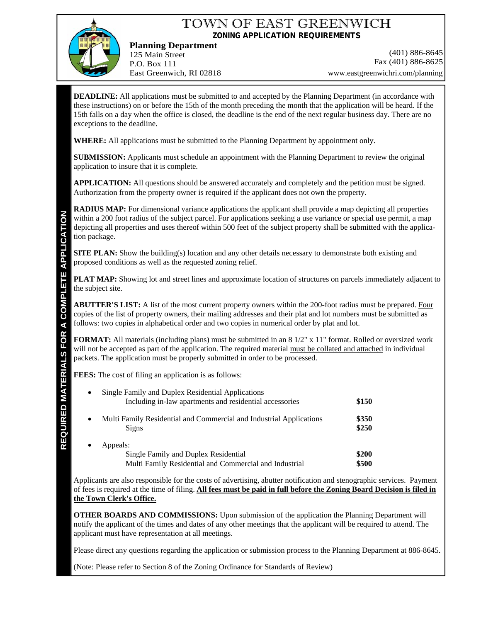## TOWN OF EAST GREENWICH **ZONING APPLICATION REQUIREMENTS**

**Planning Department** 125 Main Street P.O. Box 111 East Greenwich, RI 02818

(401) 886-8645 Fax (401) 886-8625 www.eastgreenwichri.com/planning

**DEADLINE:** All applications must be submitted to and accepted by the Planning Department (in accordance with these instructions) on or before the 15th of the month preceding the month that the application will be heard. If the 15th falls on a day when the office is closed, the deadline is the end of the next regular business day. There are no exceptions to the deadline.

**WHERE:** All applications must be submitted to the Planning Department by appointment only.

**SUBMISSION:** Applicants must schedule an appointment with the Planning Department to review the original application to insure that it is complete.

**APPLICATION:** All questions should be answered accurately and completely and the petition must be signed. Authorization from the property owner is required if the applicant does not own the property.

**RADIUS MAP:** For dimensional variance applications the applicant shall provide a map depicting all properties within a 200 foot radius of the subject parcel. For applications seeking a use variance or special use permit, a map depicting all properties and uses thereof within 500 feet of the subject property shall be submitted with the application package.

**SITE PLAN:** Show the building(s) location and any other details necessary to demonstrate both existing and proposed conditions as well as the requested zoning relief.

**PLAT MAP:** Showing lot and street lines and approximate location of structures on parcels immediately adjacent to the subject site.

**ABUTTER'S LIST:** A list of the most current property owners within the 200-foot radius must be prepared. Four copies of the list of property owners, their mailing addresses and their plat and lot numbers must be submitted as follows: two copies in alphabetical order and two copies in numerical order by plat and lot.

**FORMAT:** All materials (including plans) must be submitted in an 8 1/2" x 11" format. Rolled or oversized work will not be accepted as part of the application. The required material must be collated and attached in individual packets. The application must be properly submitted in order to be processed.

**FEES:** The cost of filing an application is as follows:

| $\bullet$ | Single Family and Duplex Residential Applications<br>Including in-law apartments and residential accessories |                |  |
|-----------|--------------------------------------------------------------------------------------------------------------|----------------|--|
| $\bullet$ | Multi Family Residential and Commercial and Industrial Applications                                          | \$150<br>\$350 |  |
| $\bullet$ | Signs<br>Appeals:                                                                                            | \$250          |  |
|           | Single Family and Duplex Residential                                                                         | \$200          |  |
|           | Multi Family Residential and Commercial and Industrial                                                       | \$500          |  |

Applicants are also responsible for the costs of advertising, abutter notification and stenographic services. Payment of fees is required at the time of filing. **All fees must be paid in full before the Zoning Board Decision is filed in the Town Clerk's Office.**

**OTHER BOARDS AND COMMISSIONS:** Upon submission of the application the Planning Department will notify the applicant of the times and dates of any other meetings that the applicant will be required to attend. The applicant must have representation at all meetings.

Please direct any questions regarding the application or submission process to the Planning Department at 886-8645.

(Note: Please refer to Section 8 of the Zoning Ordinance for Standards of Review)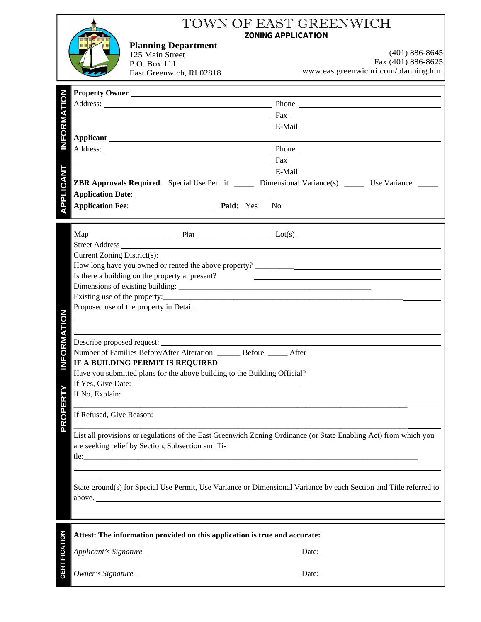|                      |                                                                                                                  | <b>Planning Department</b><br>125 Main Street<br>P.O. Box 111<br>East Greenwich, RI 02818                                                                                                                                     | <b>ZONING APPLICATION</b><br>$(401) 886 - 8645$<br>Fax (401) 886-8625<br>www.eastgreenwichri.com/planning.htm                                                                                                                                                                                 |  |
|----------------------|------------------------------------------------------------------------------------------------------------------|-------------------------------------------------------------------------------------------------------------------------------------------------------------------------------------------------------------------------------|-----------------------------------------------------------------------------------------------------------------------------------------------------------------------------------------------------------------------------------------------------------------------------------------------|--|
|                      |                                                                                                                  |                                                                                                                                                                                                                               |                                                                                                                                                                                                                                                                                               |  |
| NFORMATION           |                                                                                                                  | Property Owner                                                                                                                                                                                                                |                                                                                                                                                                                                                                                                                               |  |
|                      |                                                                                                                  |                                                                                                                                                                                                                               | Address: Phone Phone Phone Phone Phone Phone Phone Phone Phone Phone Phone Phone Phone Phone Phone Phone Phone Phone Phone Phone Phone Phone Phone Phone Phone Phone Phone Phone Phone Phone Phone Phone Phone Phone Phone Pho                                                                |  |
|                      |                                                                                                                  |                                                                                                                                                                                                                               | $\frac{1}{2}$ Fax $\frac{1}{2}$ Fax $\frac{1}{2}$ Fax $\frac{1}{2}$ Fax $\frac{1}{2}$ Fax $\frac{1}{2}$                                                                                                                                                                                       |  |
|                      |                                                                                                                  |                                                                                                                                                                                                                               |                                                                                                                                                                                                                                                                                               |  |
|                      |                                                                                                                  |                                                                                                                                                                                                                               | Applicant <u>experimental</u> contract the contract of the contract of the contract of the contract of the contract of the contract of the contract of the contract of the contract of the contract of the contract of the contract                                                           |  |
|                      |                                                                                                                  |                                                                                                                                                                                                                               | Address: Phone Phone Phone Phone Phone Phone Phone Phone Phone Phone Phone Phone Phone Phone Phone Phone Phone Phone Phone Phone Phone Phone Phone Phone Phone Phone Phone Phone Phone Phone Phone Phone Phone Phone Phone Pho                                                                |  |
|                      |                                                                                                                  |                                                                                                                                                                                                                               | $\frac{1}{2}$ Fax $\frac{1}{2}$ Fax $\frac{1}{2}$ Fax $\frac{1}{2}$ Fax $\frac{1}{2}$ Fax $\frac{1}{2}$ Fax $\frac{1}{2}$ Fax $\frac{1}{2}$ Fax $\frac{1}{2}$ Fax $\frac{1}{2}$ Fax $\frac{1}{2}$ Fax $\frac{1}{2}$ Fax $\frac{1}{2}$ Fax $\frac{1}{2}$ Fax $\frac{1}{2}$ Fax $\frac{1}{2}$ F |  |
|                      |                                                                                                                  |                                                                                                                                                                                                                               |                                                                                                                                                                                                                                                                                               |  |
| APPLICANT            |                                                                                                                  |                                                                                                                                                                                                                               | ZBR Approvals Required: Special Use Permit _____ Dimensional Variance(s) ____ Use Variance ____                                                                                                                                                                                               |  |
|                      |                                                                                                                  |                                                                                                                                                                                                                               |                                                                                                                                                                                                                                                                                               |  |
|                      |                                                                                                                  |                                                                                                                                                                                                                               |                                                                                                                                                                                                                                                                                               |  |
|                      |                                                                                                                  |                                                                                                                                                                                                                               |                                                                                                                                                                                                                                                                                               |  |
|                      |                                                                                                                  |                                                                                                                                                                                                                               | $\text{Map}$ $\qquad \qquad \text{Flat} \qquad \qquad \text{Lot}(s)$                                                                                                                                                                                                                          |  |
|                      |                                                                                                                  |                                                                                                                                                                                                                               |                                                                                                                                                                                                                                                                                               |  |
|                      |                                                                                                                  |                                                                                                                                                                                                                               |                                                                                                                                                                                                                                                                                               |  |
|                      |                                                                                                                  |                                                                                                                                                                                                                               |                                                                                                                                                                                                                                                                                               |  |
|                      |                                                                                                                  |                                                                                                                                                                                                                               |                                                                                                                                                                                                                                                                                               |  |
|                      |                                                                                                                  |                                                                                                                                                                                                                               |                                                                                                                                                                                                                                                                                               |  |
|                      |                                                                                                                  |                                                                                                                                                                                                                               | Existing use of the property: $\frac{1}{2}$ and $\frac{1}{2}$ and $\frac{1}{2}$ and $\frac{1}{2}$ and $\frac{1}{2}$ and $\frac{1}{2}$ and $\frac{1}{2}$ and $\frac{1}{2}$ and $\frac{1}{2}$ and $\frac{1}{2}$ and $\frac{1}{2}$ and $\frac{1}{2}$ and $\frac{1}{2}$ and $\frac{1}{2}$         |  |
|                      |                                                                                                                  |                                                                                                                                                                                                                               |                                                                                                                                                                                                                                                                                               |  |
| NFORMATION           |                                                                                                                  |                                                                                                                                                                                                                               |                                                                                                                                                                                                                                                                                               |  |
|                      |                                                                                                                  | <u> 1989 - Johann Stein, marwolaethau a bhann an t-Amhair an t-Amhair an t-Amhair an t-Amhair an t-Amhair an t-A</u>                                                                                                          |                                                                                                                                                                                                                                                                                               |  |
|                      |                                                                                                                  | Describe proposed request:                                                                                                                                                                                                    |                                                                                                                                                                                                                                                                                               |  |
|                      |                                                                                                                  | Number of Families Before/After Alteration: ______ Before _____ After                                                                                                                                                         |                                                                                                                                                                                                                                                                                               |  |
|                      | IF A BUILDING PERMIT IS REQUIRED                                                                                 |                                                                                                                                                                                                                               |                                                                                                                                                                                                                                                                                               |  |
|                      |                                                                                                                  | Have you submitted plans for the above building to the Building Official?                                                                                                                                                     |                                                                                                                                                                                                                                                                                               |  |
|                      |                                                                                                                  | If Yes, Give Date: 1988. The Manual State of the Manual State of the Manual State of the Manual State of the Manual State of the Manual State of the Manual State of the Manual State of the Manual State of the Manual State |                                                                                                                                                                                                                                                                                               |  |
|                      | If No, Explain:                                                                                                  |                                                                                                                                                                                                                               |                                                                                                                                                                                                                                                                                               |  |
| PROPERTY             |                                                                                                                  |                                                                                                                                                                                                                               |                                                                                                                                                                                                                                                                                               |  |
|                      | If Refused, Give Reason:                                                                                         |                                                                                                                                                                                                                               |                                                                                                                                                                                                                                                                                               |  |
|                      | List all provisions or regulations of the East Greenwich Zoning Ordinance (or State Enabling Act) from which you |                                                                                                                                                                                                                               |                                                                                                                                                                                                                                                                                               |  |
|                      | are seeking relief by Section, Subsection and Ti-                                                                |                                                                                                                                                                                                                               |                                                                                                                                                                                                                                                                                               |  |
|                      |                                                                                                                  |                                                                                                                                                                                                                               | tle:                                                                                                                                                                                                                                                                                          |  |
|                      |                                                                                                                  |                                                                                                                                                                                                                               |                                                                                                                                                                                                                                                                                               |  |
|                      |                                                                                                                  |                                                                                                                                                                                                                               |                                                                                                                                                                                                                                                                                               |  |
|                      |                                                                                                                  |                                                                                                                                                                                                                               | State ground(s) for Special Use Permit, Use Variance or Dimensional Variance by each Section and Title referred to                                                                                                                                                                            |  |
|                      | above.                                                                                                           |                                                                                                                                                                                                                               |                                                                                                                                                                                                                                                                                               |  |
|                      |                                                                                                                  |                                                                                                                                                                                                                               |                                                                                                                                                                                                                                                                                               |  |
|                      |                                                                                                                  |                                                                                                                                                                                                                               |                                                                                                                                                                                                                                                                                               |  |
|                      | Attest: The information provided on this application is true and accurate:                                       |                                                                                                                                                                                                                               |                                                                                                                                                                                                                                                                                               |  |
| <b>CERTIFICATION</b> |                                                                                                                  |                                                                                                                                                                                                                               |                                                                                                                                                                                                                                                                                               |  |
|                      |                                                                                                                  |                                                                                                                                                                                                                               |                                                                                                                                                                                                                                                                                               |  |
|                      |                                                                                                                  |                                                                                                                                                                                                                               |                                                                                                                                                                                                                                                                                               |  |
|                      | Owner's Signature                                                                                                |                                                                                                                                                                                                                               | Date:                                                                                                                                                                                                                                                                                         |  |

## TOWN OF EAST GREENWICH